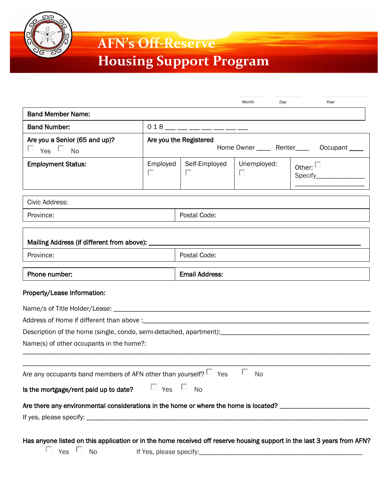

## **AFN's Off-Reserve**

# **Housing Support Program**

|                                                                                                                         |                                                                       |                         | Day<br>Month          | Year             |  |
|-------------------------------------------------------------------------------------------------------------------------|-----------------------------------------------------------------------|-------------------------|-----------------------|------------------|--|
| <b>Band Member Name:</b>                                                                                                |                                                                       |                         |                       |                  |  |
| <b>Band Number:</b>                                                                                                     |                                                                       | $018$ — — — — — — — — — |                       |                  |  |
| Are you a Senior (65 and up)?<br>$\Box$ $_{\rm Yes}$ $\Box$<br><b>No</b>                                                | Are you the Registered<br>Home Owner ______ Renter_____ Occupant ____ |                         |                       |                  |  |
| <b>Employment Status:</b>                                                                                               | Employed<br>□                                                         | Self-Employed<br>$\Box$ | Unemployed:<br>$\Box$ | Other: $\square$ |  |
| Civic Address:                                                                                                          |                                                                       |                         |                       |                  |  |
| Province:                                                                                                               |                                                                       | Postal Code:            |                       |                  |  |
| Mailing Address (if different from above): _                                                                            |                                                                       |                         |                       |                  |  |
| Province:                                                                                                               |                                                                       | Postal Code:            |                       |                  |  |
| Phone number:                                                                                                           |                                                                       | <b>Email Address:</b>   |                       |                  |  |
| Property/Lease Information:                                                                                             |                                                                       |                         |                       |                  |  |
|                                                                                                                         |                                                                       |                         |                       |                  |  |
|                                                                                                                         |                                                                       |                         |                       |                  |  |
| Description of the home (single, condo, semi-detached, apartment): [100] [2010] [2010] [2010] [2010] [2010] [2010] [    |                                                                       |                         |                       |                  |  |
| Name(s) of other occupants in the home?:                                                                                |                                                                       |                         |                       |                  |  |
| Are any occupants band members of AFN other than yourself? $\Box$ Yes                                                   |                                                                       |                         | <b>No</b>             |                  |  |
|                                                                                                                         |                                                                       |                         |                       |                  |  |
| Is the mortgage/rent paid up to date?                                                                                   | $\Box$ Yes $\Box$                                                     | <b>No</b>               |                       |                  |  |
| Are there any environmental considerations in the home or where the home is located? _________________________          |                                                                       |                         |                       |                  |  |
|                                                                                                                         |                                                                       |                         |                       |                  |  |
| Has anyone listed on this application or in the home received off reserve housing support in the last 3 years from AFN? |                                                                       |                         |                       |                  |  |

 $\Box$  Yes  $\Box$  No If Yes, please specify: